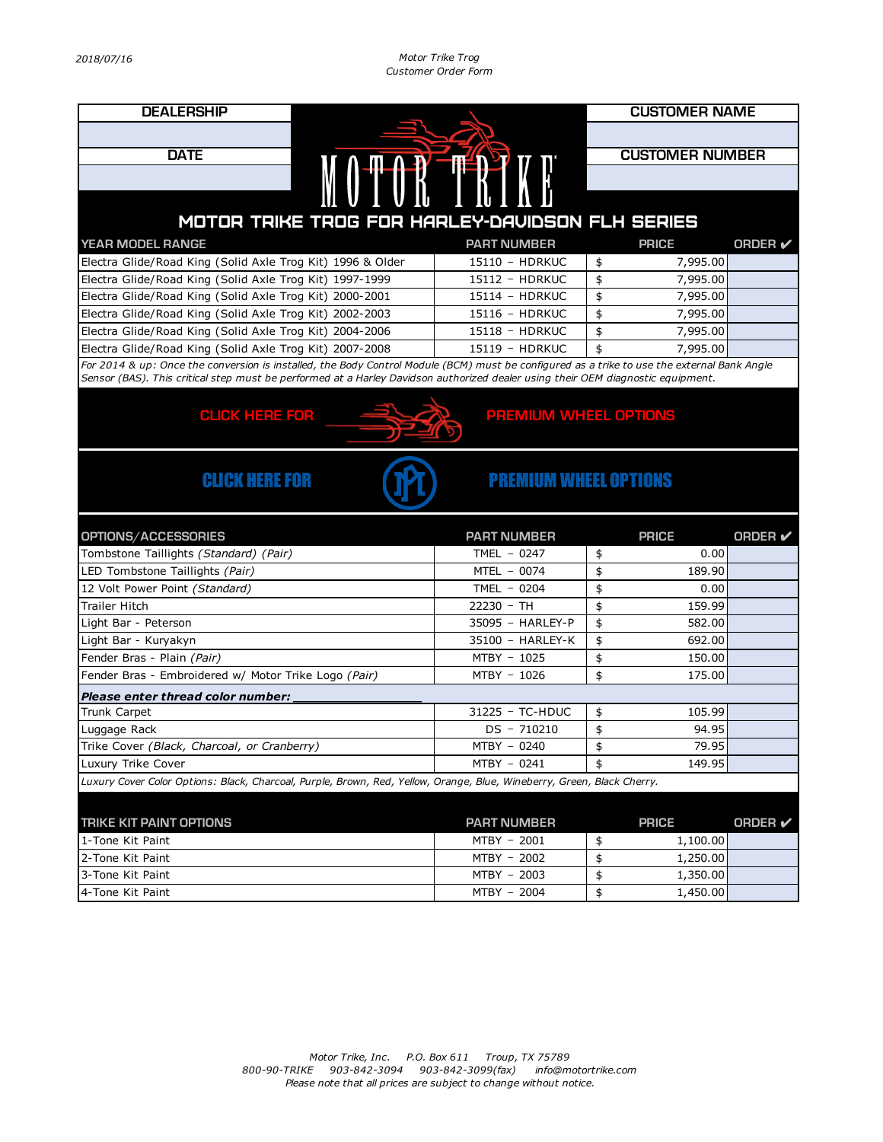*2018/07/16 Motor Trike Trog Customer Order Form*

| <b>DEALERSHIP</b>                                                                                                                                                                                                                                                              |                              | <b>CUSTOMER NAME</b> |                        |                |  |  |  |
|--------------------------------------------------------------------------------------------------------------------------------------------------------------------------------------------------------------------------------------------------------------------------------|------------------------------|----------------------|------------------------|----------------|--|--|--|
|                                                                                                                                                                                                                                                                                |                              |                      |                        |                |  |  |  |
| <b>DATE</b>                                                                                                                                                                                                                                                                    |                              |                      | <b>CUSTOMER NUMBER</b> |                |  |  |  |
| MOTOR TRIKE                                                                                                                                                                                                                                                                    |                              |                      |                        |                |  |  |  |
|                                                                                                                                                                                                                                                                                |                              |                      |                        |                |  |  |  |
|                                                                                                                                                                                                                                                                                |                              |                      |                        |                |  |  |  |
| MOTOR TRIKE TROG FOR HARLEY-DAVIDSON FLH SERIES                                                                                                                                                                                                                                |                              |                      |                        |                |  |  |  |
| YEAR MODEL RANGE                                                                                                                                                                                                                                                               | <b>PART NUMBER</b>           |                      | <b>PRICE</b>           | ORDER V        |  |  |  |
| Electra Glide/Road King (Solid Axle Trog Kit) 1996 & Older                                                                                                                                                                                                                     | 15110 - HDRKUC               | \$                   | 7,995.00               |                |  |  |  |
| Electra Glide/Road King (Solid Axle Trog Kit) 1997-1999                                                                                                                                                                                                                        | 15112 - HDRKUC               | \$                   | 7,995.00               |                |  |  |  |
| Electra Glide/Road King (Solid Axle Trog Kit) 2000-2001                                                                                                                                                                                                                        | 15114 - HDRKUC               | \$                   | 7,995.00               |                |  |  |  |
| Electra Glide/Road King (Solid Axle Trog Kit) 2002-2003                                                                                                                                                                                                                        | 15116 - HDRKUC               | \$                   | 7,995.00               |                |  |  |  |
| Electra Glide/Road King (Solid Axle Trog Kit) 2004-2006                                                                                                                                                                                                                        | 15118 - HDRKUC               | \$                   | 7,995.00               |                |  |  |  |
| Electra Glide/Road King (Solid Axle Trog Kit) 2007-2008                                                                                                                                                                                                                        | 15119 - HDRKUC               | \$                   | 7,995.00               |                |  |  |  |
| For 2014 & up: Once the conversion is installed, the Body Control Module (BCM) must be configured as a trike to use the external Bank Angle<br>Sensor (BAS). This critical step must be performed at a Harley Davidson authorized dealer using their OEM diagnostic equipment. |                              |                      |                        |                |  |  |  |
|                                                                                                                                                                                                                                                                                |                              |                      |                        |                |  |  |  |
| <b>CLICK HERE FOR</b>                                                                                                                                                                                                                                                          | <b>PREMIUM WHEEL OPTIONS</b> |                      |                        |                |  |  |  |
|                                                                                                                                                                                                                                                                                |                              |                      |                        |                |  |  |  |
|                                                                                                                                                                                                                                                                                |                              |                      |                        |                |  |  |  |
|                                                                                                                                                                                                                                                                                |                              |                      |                        |                |  |  |  |
| <b>CLICK HERE FOR</b>                                                                                                                                                                                                                                                          | <b>PREMIUM WHEEL OPTIONS</b> |                      |                        |                |  |  |  |
|                                                                                                                                                                                                                                                                                |                              |                      |                        |                |  |  |  |
|                                                                                                                                                                                                                                                                                |                              |                      |                        |                |  |  |  |
|                                                                                                                                                                                                                                                                                |                              |                      |                        |                |  |  |  |
|                                                                                                                                                                                                                                                                                | <b>PART NUMBER</b>           |                      | <b>PRICE</b>           | <b>ORDER</b>   |  |  |  |
| OPTIONS/ACCESSORIES<br>Tombstone Taillights (Standard) (Pair)                                                                                                                                                                                                                  | TMEL $-0247$                 | \$                   | 0.00                   |                |  |  |  |
| LED Tombstone Taillights (Pair)                                                                                                                                                                                                                                                | MTEL - 0074                  | \$                   | 189.90                 |                |  |  |  |
| 12 Volt Power Point (Standard)                                                                                                                                                                                                                                                 | TMEL - 0204                  | \$                   | 0.00                   |                |  |  |  |
| <b>Trailer Hitch</b>                                                                                                                                                                                                                                                           | 22230 - TH                   | \$                   | 159.99                 |                |  |  |  |
| Light Bar - Peterson                                                                                                                                                                                                                                                           | 35095 - HARLEY-P             | \$                   | 582.00                 |                |  |  |  |
| Light Bar - Kuryakyn                                                                                                                                                                                                                                                           | 35100 - HARLEY-K             | \$                   | 692.00                 |                |  |  |  |
| Fender Bras - Plain (Pair)                                                                                                                                                                                                                                                     | MTBY - 1025                  | \$                   | 150.00                 |                |  |  |  |
| Fender Bras - Embroidered w/ Motor Trike Logo (Pair)                                                                                                                                                                                                                           | MTBY - 1026                  | \$                   | 175.00                 |                |  |  |  |
|                                                                                                                                                                                                                                                                                |                              |                      |                        |                |  |  |  |
| Please enter thread color number:<br>Trunk Carpet                                                                                                                                                                                                                              | 31225 - TC-HDUC              | \$                   | 105.99                 |                |  |  |  |
| Luggage Rack                                                                                                                                                                                                                                                                   | $DS - 710210$                | \$                   | 94.95                  |                |  |  |  |
| Trike Cover (Black, Charcoal, or Cranberry)                                                                                                                                                                                                                                    | MTBY - 0240                  | \$                   | 79.95                  |                |  |  |  |
| Luxury Trike Cover                                                                                                                                                                                                                                                             | MTBY - 0241                  |                      | 149.95                 |                |  |  |  |
| Luxury Cover Color Options: Black, Charcoal, Purple, Brown, Red, Yellow, Orange, Blue, Wineberry, Green, Black Cherry.                                                                                                                                                         |                              |                      |                        |                |  |  |  |
|                                                                                                                                                                                                                                                                                |                              |                      |                        |                |  |  |  |
|                                                                                                                                                                                                                                                                                |                              |                      |                        |                |  |  |  |
| <b>TRIKE KIT PAINT OPTIONS</b><br>1-Tone Kit Paint                                                                                                                                                                                                                             | <b>PART NUMBER</b>           |                      | <b>PRICE</b>           | <b>ORDER</b> ✔ |  |  |  |
| 2-Tone Kit Paint                                                                                                                                                                                                                                                               | MTBY - 2001                  | \$                   | 1,100.00               |                |  |  |  |
| 3-Tone Kit Paint                                                                                                                                                                                                                                                               | MTBY - 2002<br>MTBY - 2003   | \$<br>\$             | 1,250.00<br>1,350.00   |                |  |  |  |